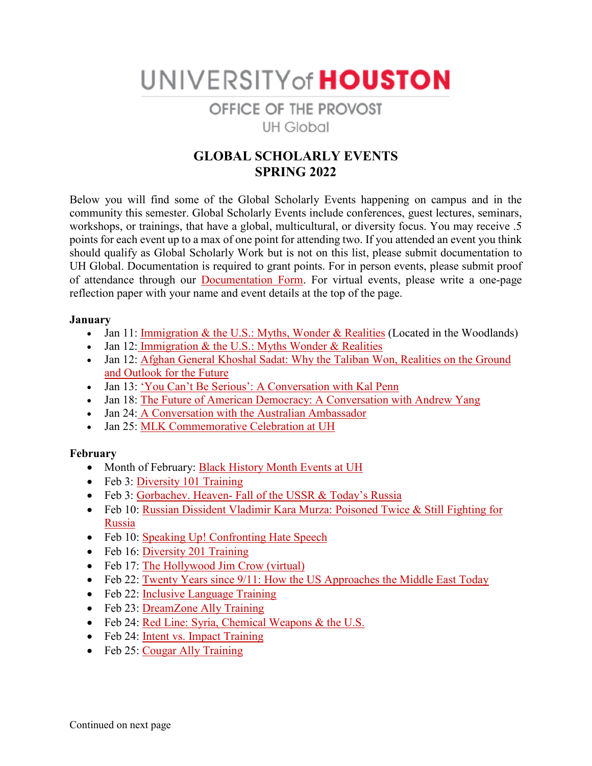UNIVERSITY of HOUSTON

# OFFICE OF THE PROVOST **UH Global**

# **GLOBAL SCHOLARLY EVENTS SPRING 2022**

Below you will find some of the Global Scholarly Events happening on campus and in the community this semester. Global Scholarly Events include conferences, guest lectures, seminars, workshops, or trainings, that have a global, multicultural, or diversity focus. You may receive .5 points for each event up to a max of one point for attending two. If you attended an event you think should qualify as Global Scholarly Work but is not on this list, please submit documentation to UH Global. Documentation is required to grant points. For in person events, please submit proof of attendance through our [Documentation Form.](https://www.uh.edu/provost/university/global/_documents/documentation-form.pdf) For virtual events, please write a one-page reflection paper with your name and event details at the top of the page.

#### **January**

- Jan 11: Immigration  $\&$  the U.S.: Myths, Wonder  $\&$  Realities (Located in the Woodlands)
- Jan 12: Immigration  $&$  the U.S.: Myths Wonder  $&$  Realities
- Jan 12: Afghan General Khoshal Sadat: Why the Taliban Won, Realities on the Ground [and Outlook for the Future](https://wachouston.org/event/why-the-taliban-won-realities-on-the-ground-and-outlook-for-the-future/)
- Jan 13: ['You Can't Be Serious': A Conversation with Kal Penn](https://asiasociety.org/texas/events/you-cant-be-serious-conversation-kal-penn)
- Jan 18: [The Future of American Democracy: A Conversation with Andrew Yang](https://asiasociety.org/texas/events/future-american-democracy-conversation-andrew-yang)
- Jan 24: [A Conversation with the Australian Ambassador](https://forms.gle/NAaf5EbFqB9kRdo68)
- Jan 25: [MLK Commemorative Celebration at UH](https://www.uh.edu/cdi/calendar/?view=e&id=339501#event)

#### **February**

- Month of February: [Black History Month Events at UH](https://www.uh.edu/cdi/events/bhm/)
- Feb 3: [Diversity 101 Training](https://www.uh.edu/cdi/diversity_education/workshops-trainings/)
- Feb 3: Gorbachev. Heaven- [Fall of the USSR & Today's Russia](https://wachouston.org/event/documentary-gorbachev-heaven-gorbachevs-own-account-of-the-fall-of-the-ussr-modern-russia/)
- Feb 10: Russian Dissident Vladimir Kara Murza: Poisoned Twice & Still Fighting for [Russia](https://wachouston.org/event/russian-dissident-vladimir-kara-murza-poisoned-twice-still-fighting-for-russia/)
- Feb 10: [Speaking Up! Confronting Hate Speech](https://hmh.org/events/book-talk-with-dr-caitlin-ring-carlson-author-of-hate-2022-02-10-18:00:00)
- Feb 16: [Diversity 201 Training](https://www.uh.edu/cdi/diversity_education/workshops-trainings/)
- Feb 17: [The Hollywood Jim Crow \(virtual\)](https://hmh.org/events/the-hollywood-jim-crow-the-racial-politics-of-the-movie-2022-02-17-18:00:00)
- Feb 22: [Twenty Years since 9/11: How the US Approaches the Middle East Today](https://wachouston.org/event/twenty-years-since-9-11-how-the-us-approaches-the-middle-east-today/)
- Feb 22: [Inclusive Language Training](https://www.uh.edu/cdi/diversity_education/workshops-trainings/)
- Feb 23: [DreamZone Ally Training](https://www.uh.edu/cdi/diversity_education/workshops-trainings/)
- Feb 24: [Red Line: Syria, Chemical Weapons & the U.S.](https://wachouston.org/event/pulitzer-prize-winner-joby-warrick-red-line-syria-chemical-weapons-the-u-s/)
- Feb 24: [Intent vs. Impact Training](https://www.uh.edu/cdi/diversity_education/workshops-trainings/)
- Feb 25: [Cougar Ally Training](https://www.uh.edu/lgbtq/calendar/?view=e&id=338823#event)